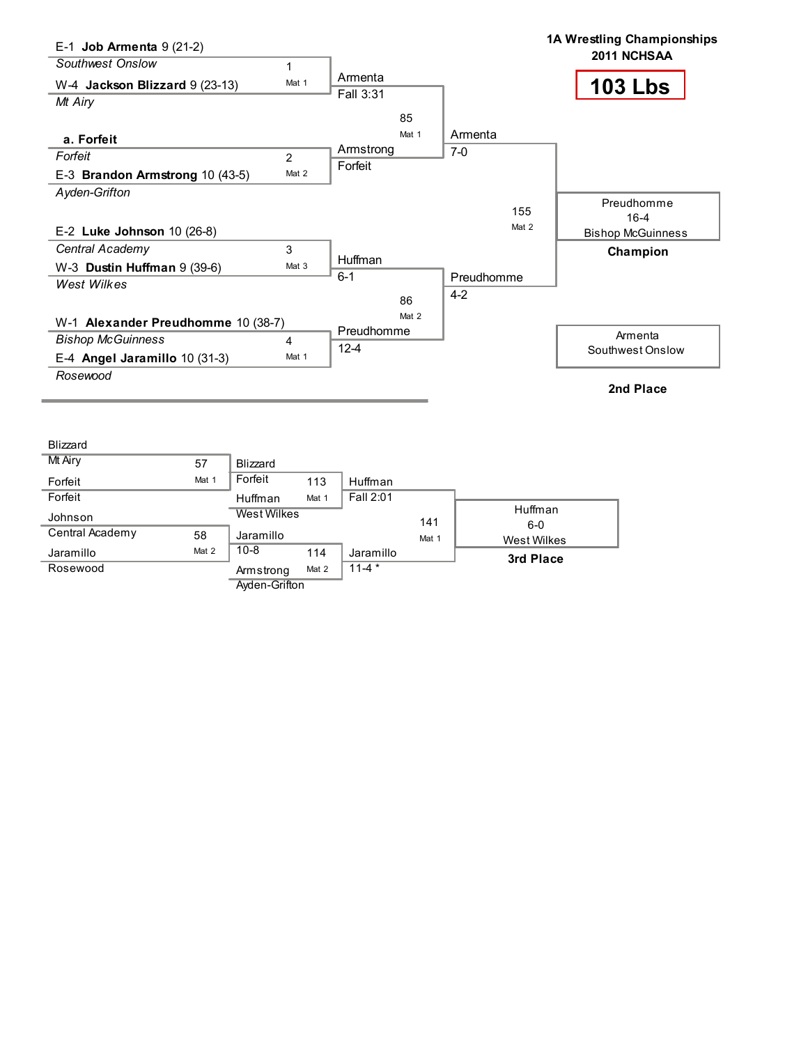| E-1 Job Armenta 9 (21-2)           |                |                |            | 1A Wrestling Championships<br>2011 NCHSAA |
|------------------------------------|----------------|----------------|------------|-------------------------------------------|
| <b>Southwest Onslow</b>            | 1              |                |            |                                           |
| W-4 Jackson Blizzard 9 (23-13)     | Mat 1          | Armenta        |            | <b>103 Lbs</b>                            |
| Mt Airy                            |                | Fall 3:31      |            |                                           |
|                                    |                | 85             |            |                                           |
| a. Forfeit                         |                | Mat 1          | Armenta    |                                           |
| Forfeit                            | $\overline{2}$ | Armstrong      | $7-0$      |                                           |
| $E-3$ Brandon Armstrong 10 (43-5)  | Mat 2          | Forfeit        |            |                                           |
| Ayden-Grifton                      |                |                |            |                                           |
|                                    |                |                | 155        | Preudhomme<br>$16 - 4$                    |
| E-2 Luke Johnson 10 (26-8)         |                |                | Mat 2      | <b>Bishop McGuinness</b>                  |
| Central Academy                    | 3              |                |            | Champion                                  |
| W-3 Dustin Huffman 9 (39-6)        | Mat 3          | <b>Huffman</b> |            |                                           |
| West Wilkes                        |                | $6 - 1$        | Preudhomme |                                           |
|                                    |                | 86             | $4 - 2$    |                                           |
| W-1 Alexander Preudhomme 10 (38-7) |                | Mat 2          |            |                                           |
| <b>Bishop McGuinness</b>           | 4              | Preudhomme     |            | Armenta                                   |
| E-4 Angel Jaramillo 10 (31-3)      | Mat 1          | $12 - 4$       |            | Southwest Onslow                          |
| Rosewood                           |                |                |            |                                           |
|                                    |                |                |            | 2nd Place                                 |

| Blizzard        |       |                    |       |            |       |                    |
|-----------------|-------|--------------------|-------|------------|-------|--------------------|
| Mt Airy         | 57    | Blizzard           |       |            |       |                    |
| Forfeit         | Mat 1 | Forfeit            | 113   | Huffman    |       |                    |
| Forfeit         |       | Huffman            | Mat 1 | Fall 2:01  |       |                    |
| Johnson         |       | <b>West Wilkes</b> |       |            | 141   | Huffman<br>$6 - 0$ |
| Central Academy | 58    | Jaramillo          |       |            | Mat 1 | <b>West Wilkes</b> |
| Jaramillo       | Mat 2 | $10 - 8$           | 114   | Jaramillo  |       | 3rd Place          |
| Rosewood        |       | Armstrong          | Mat 2 | $11 - 4$ * |       |                    |
|                 |       | Ayden-Grifton      |       |            |       |                    |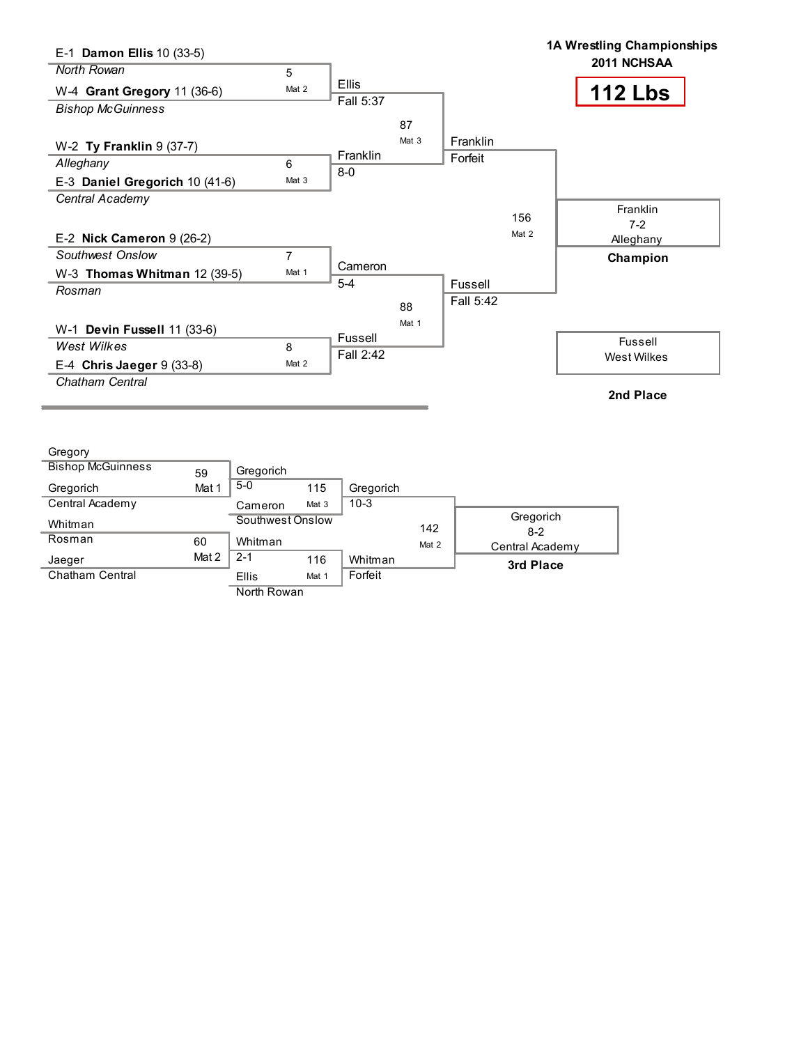

| Gregory                  |       |                  |       |           |       |                    |
|--------------------------|-------|------------------|-------|-----------|-------|--------------------|
| <b>Bishop McGuinness</b> | 59    | Gregorich        |       |           |       |                    |
| Gregorich                | Mat 1 | $5-0$            | 115   | Gregorich |       |                    |
| Central Academy          |       | Cameron          | Mat 3 | $10-3$    |       |                    |
| Whitman                  |       | Southwest Onslow |       |           | 142   | Gregorich<br>$8-2$ |
| Rosman                   | 60    | Whitman          |       |           | Mat 2 | Central Academy    |
| Jaeger                   | Mat 2 | $2 - 1$          | 116   | Whitman   |       | 3rd Place          |
| Chatham Central          |       | Ellis            | Mat 1 | Forfeit   |       |                    |
|                          |       | North Rowan      |       |           |       |                    |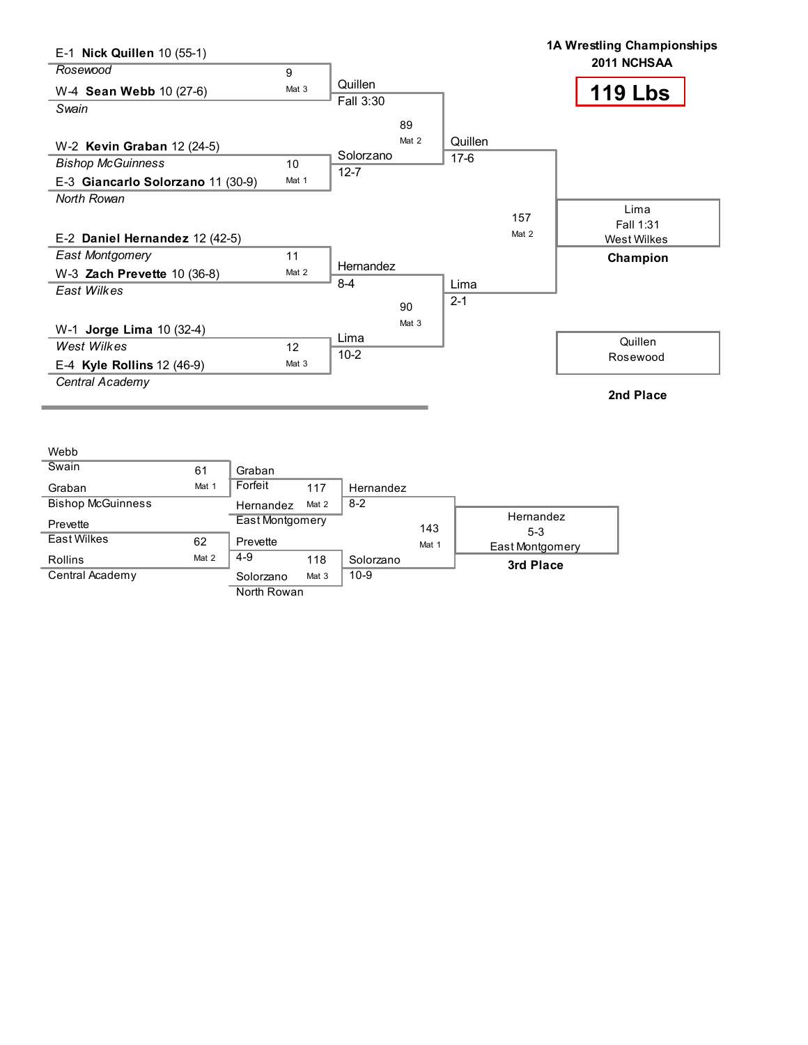

| Webb                     |       |                 |       |           |       |                    |
|--------------------------|-------|-----------------|-------|-----------|-------|--------------------|
| Swain                    | 61    | Graban          |       |           |       |                    |
| Graban                   | Mat 1 | Forfeit         | 117   | Hernandez |       |                    |
| <b>Bishop McGuinness</b> |       | Hernandez       | Mat 2 | $8 - 2$   |       |                    |
| Prevette                 |       | East Montgomery |       |           | 143   | Hernandez<br>$5-3$ |
| East Wilkes              | 62    | Prevette        |       |           | Mat 1 | East Montgomery    |
| <b>Rollins</b>           | Mat 2 | $4-9$           | 118   | Solorzano |       | 3rd Place          |
| Central Academy          |       | Solorzano       | Mat 3 | $10-9$    |       |                    |
|                          |       | North Rowan     |       |           |       |                    |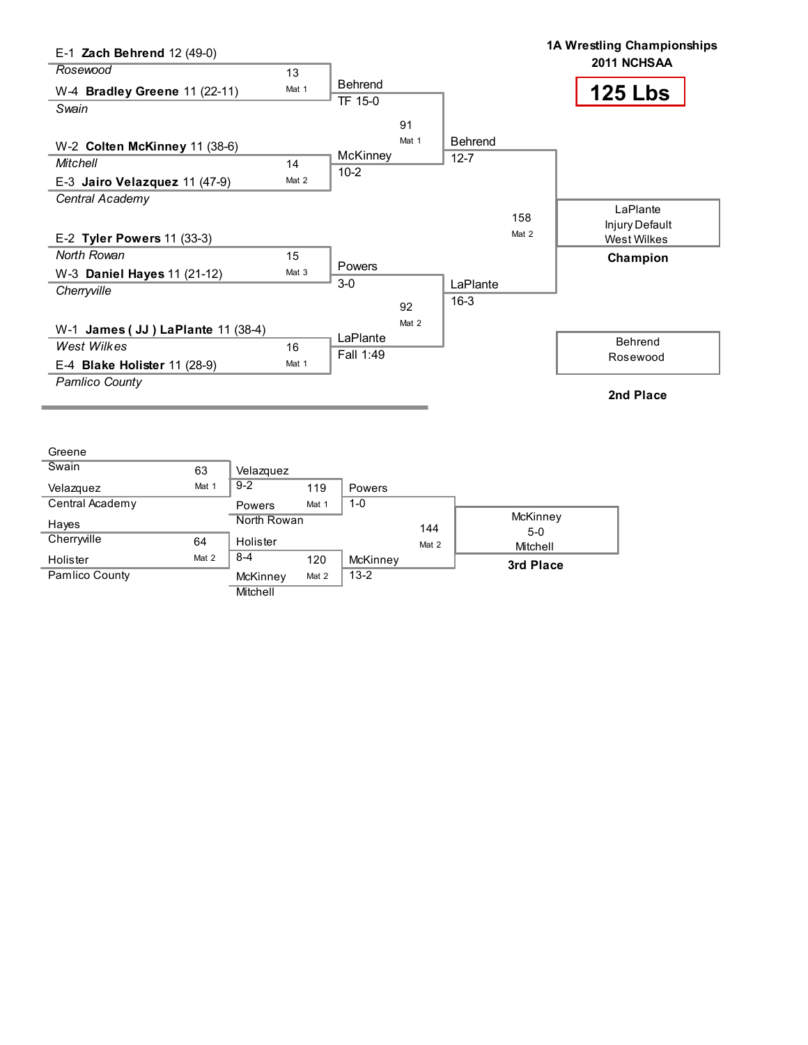| E-1 Zach Behrend $12(49-0)$         |       |                 |       |                |       | 1A Wrestling Championships<br>2011 NCHSAA |
|-------------------------------------|-------|-----------------|-------|----------------|-------|-------------------------------------------|
| Rosewood                            | 13    |                 |       |                |       |                                           |
| W-4 Bradley Greene 11 (22-11)       | Mat 1 | <b>Behrend</b>  |       |                |       | <b>125 Lbs</b>                            |
| Swain                               |       | TF 15-0         |       |                |       |                                           |
|                                     |       |                 | 91    |                |       |                                           |
| W-2 Colten McKinney 11 (38-6)       |       |                 | Mat 1 | <b>Behrend</b> |       |                                           |
| Mitchell                            | 14    | <b>McKinney</b> |       | $12 - 7$       |       |                                           |
| E-3 Jairo Velazquez 11 (47-9)       | Mat 2 | $10-2$          |       |                |       |                                           |
| Central Academy                     |       |                 |       |                |       |                                           |
|                                     |       |                 |       |                | 158   | LaPlante                                  |
| E-2 Tyler Powers 11 (33-3)          |       |                 |       |                | Mat 2 | Injury Default<br><b>West Wilkes</b>      |
| North Rowan                         | 15    |                 |       |                |       | Champion                                  |
| W-3 Daniel Hayes 11 (21-12)         | Mat 3 | Powers          |       |                |       |                                           |
| Cherryville                         |       | $3-0$           |       | LaPlante       |       |                                           |
|                                     |       |                 | 92    | $16 - 3$       |       |                                           |
|                                     |       |                 | Mat 2 |                |       |                                           |
| W-1 James (JJ) LaPlante 11 (38-4)   |       | LaPlante        |       |                |       | <b>Behrend</b>                            |
| West Wilkes                         | 16    | Fall 1:49       |       |                |       | Rosewood                                  |
| E-4 <b>Blake Holister</b> 11 (28-9) | Mat 1 |                 |       |                |       |                                           |
| Pamlico County                      |       |                 |       |                |       |                                           |
|                                     |       |                 |       |                |       | 2nd Place                                 |

| Greene          |       |               |       |          |       |                   |
|-----------------|-------|---------------|-------|----------|-------|-------------------|
| Swain           | 63    | Velazquez     |       |          |       |                   |
| Velazquez       | Mat 1 | $9 - 2$       | 119   | Powers   |       |                   |
| Central Academy |       | <b>Powers</b> | Mat 1 | 1-0      |       |                   |
| Hayes           |       | North Rowan   |       |          | 144   | McKinney<br>$5-0$ |
| Cherrwille      | 64    | Holister      |       |          | Mat 2 | Mitchell          |
| Holister        | Mat 2 | $8 - 4$       | 120   | McKinney |       | 3rd Place         |
| Pamlico County  |       | McKinney      | Mat 2 | $13 - 2$ |       |                   |
|                 |       | Mitchell      |       |          |       |                   |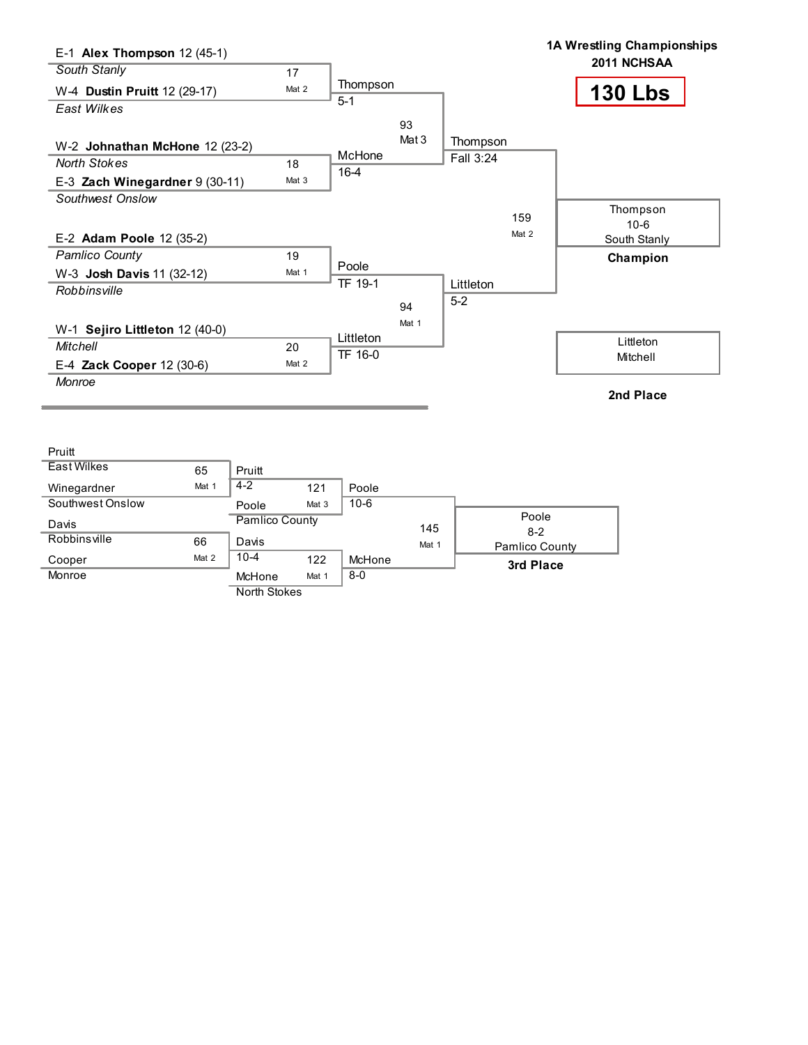| E-1 Alex Thompson 12 (45-1)     |       |                     |       |           | 1A Wrestling Championships<br>2011 NCHSAA |
|---------------------------------|-------|---------------------|-------|-----------|-------------------------------------------|
| South Stanly                    | 17    |                     |       |           |                                           |
| W-4 Dustin Pruitt 12 (29-17)    | Mat 2 | Thompson<br>$5 - 1$ |       |           | <b>130 Lbs</b>                            |
| East Wilkes                     |       |                     |       |           |                                           |
|                                 |       |                     | 93    |           |                                           |
| W-2 Johnathan McHone 12 (23-2)  |       |                     | Mat 3 | Thompson  |                                           |
| North Stokes                    | 18    | McHone<br>$16-4$    |       | Fall 3:24 |                                           |
| E-3 Zach Winegardner $9(30-11)$ | Mat 3 |                     |       |           |                                           |
| Southwest Onslow                |       |                     |       |           |                                           |
|                                 |       |                     |       | 159       | Thompson<br>$10-6$                        |
| E-2 Adam Poole $12(35-2)$       |       |                     |       | Mat 2     | South Stanly                              |
| <b>Pamlico County</b>           | 19    |                     |       |           | Champion                                  |
| W-3 Josh Davis 11 (32-12)       | Mat 1 | Poole               |       |           |                                           |
| Robbinsville                    |       | TF 19-1             |       | Littleton |                                           |
|                                 |       |                     | 94    | $5-2$     |                                           |
| W-1 Sejiro Littleton 12 (40-0)  |       |                     | Mat 1 |           |                                           |
| Mitchell                        | 20    | Littleton           |       |           | Littleton                                 |
| E-4 Zack Cooper 12 (30-6)       | Mat 2 | TF 16-0             |       |           | Mitchell                                  |
| Monroe                          |       |                     |       |           |                                           |
|                                 |       |                     |       |           | 2nd Place                                 |

| Pruitt           |       |                               |       |         |       |                       |
|------------------|-------|-------------------------------|-------|---------|-------|-----------------------|
| East Wilkes      | 65    | Pruitt                        |       |         |       |                       |
| Winegardner      | Mat 1 | $4 - 2$                       | 121   | Poole   |       |                       |
| Southwest Onslow |       | Poole                         | Mat 3 | $10-6$  |       |                       |
| Davis            |       | Pamlico County                |       |         | 145   | Poole<br>$8 - 2$      |
| Robbinsville     | 66    | Davis                         |       |         | Mat 1 | <b>Pamlico County</b> |
| Cooper           | Mat 2 | $10 - 4$                      | 122   | McHone  |       | 3rd Place             |
| Monroe           |       | McHone<br><b>North Stokes</b> | Mat 1 | $8 - 0$ |       |                       |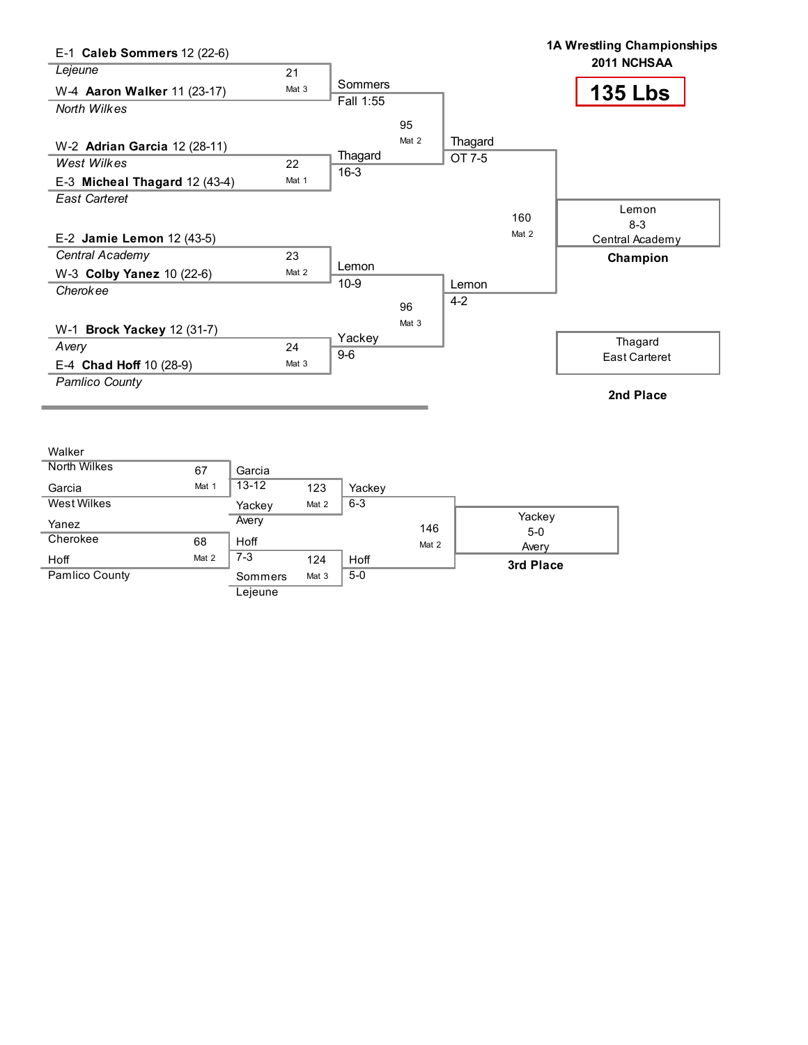

| Walker         |       |           |       |         |       |                 |
|----------------|-------|-----------|-------|---------|-------|-----------------|
| North Wilkes   | 67    | Garcia    |       |         |       |                 |
| Garcia         | Mat 1 | $13 - 12$ | 123   | Yackey  |       |                 |
| West Wilkes    |       | Yackey    | Mat 2 | $6 - 3$ |       |                 |
| Yanez          |       | Avery     |       |         | 146   | Yackey<br>$5-0$ |
| Cherokee       | 68    | Hoff      |       |         | Mat 2 | Avery           |
| Hoff           | Mat 2 | $7 - 3$   | 124   | Hoff    |       | 3rd Place       |
| Pamlico County |       | Sommers   | Mat 3 | $5-0$   |       |                 |
|                |       | Lejeune   |       |         |       |                 |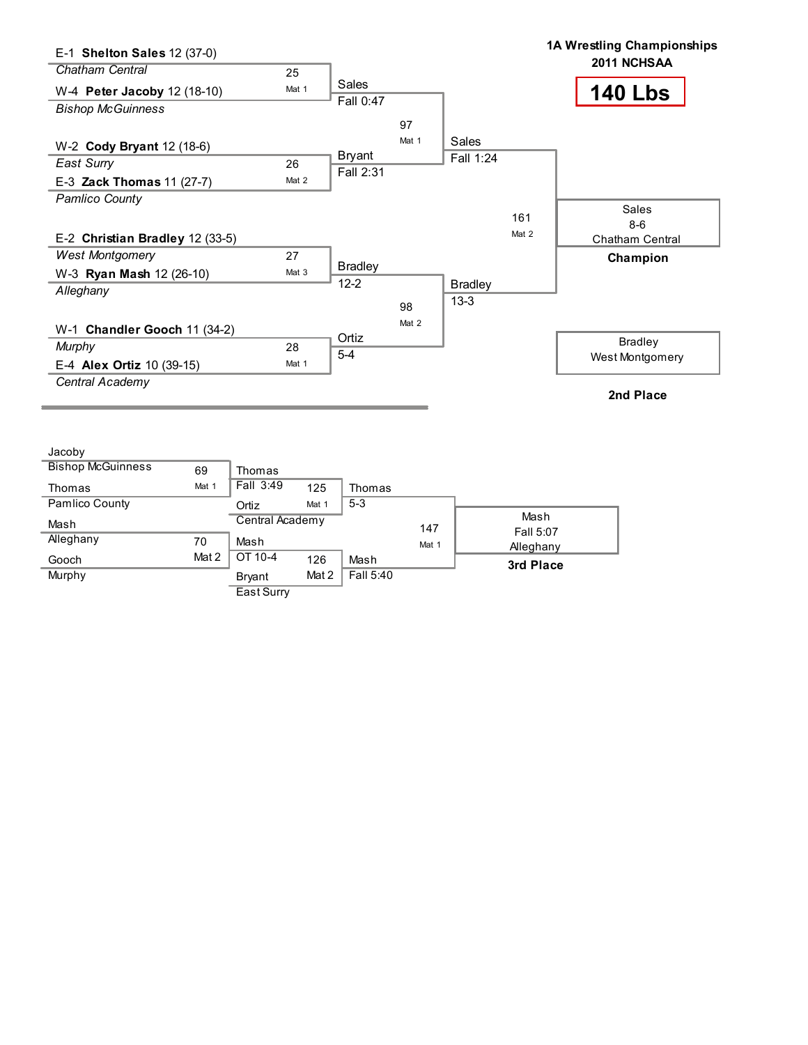

| Jacoby                   |       |                 |       |           |       |                   |
|--------------------------|-------|-----------------|-------|-----------|-------|-------------------|
| <b>Bishop McGuinness</b> | 69    | Thomas          |       |           |       |                   |
| Thomas                   | Mat 1 | Fall 3:49       | 125   | Thomas    |       |                   |
| Pamlico County           |       | Ortiz           | Mat 1 | $5-3$     |       |                   |
| Mash                     |       | Central Academy |       |           | 147   | Mash<br>Fall 5:07 |
| Alleghany                | 70    | Mash            |       |           | Mat 1 | Alleghany         |
| Gooch                    | Mat 2 | OT 10-4         | 126   | Mash      |       | 3rd Place         |
| Murphy                   |       | <b>Bryant</b>   | Mat 2 | Fall 5:40 |       |                   |
|                          |       | East Surry      |       |           |       |                   |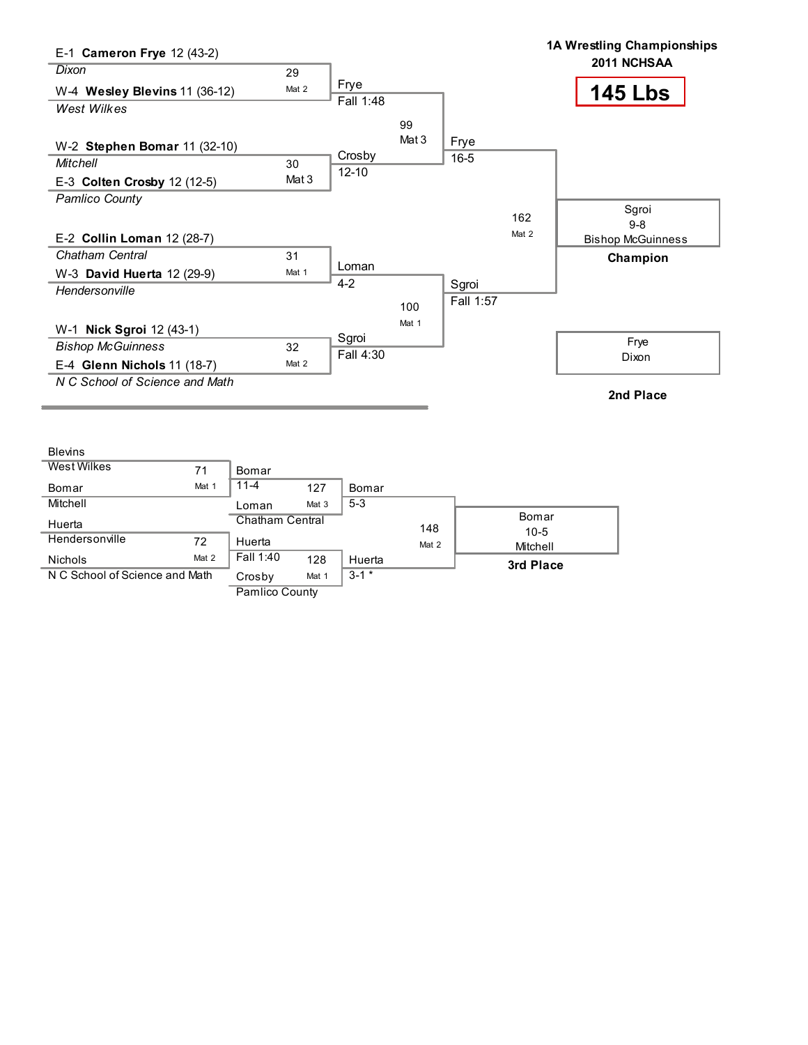

| <b>Blevins</b>                 |       |                        |       |           |       |                 |
|--------------------------------|-------|------------------------|-------|-----------|-------|-----------------|
| West Wilkes                    | 71    | Bomar                  |       |           |       |                 |
| Bomar                          | Mat 1 | $11 - 4$               | 127   | Bomar     |       |                 |
| Mitchell                       |       | Loman                  | Mat 3 | $5 - 3$   |       |                 |
| Huerta                         |       | <b>Chatham Central</b> |       |           | 148   | Bomar<br>$10-5$ |
| Hendersonville                 | 72    | Huerta                 |       |           | Mat 2 | Mitchell        |
| <b>Nichols</b>                 | Mat 2 | Fall 1:40              | 128   | Huerta    |       | 3rd Place       |
| N C School of Science and Math |       | Crosby                 | Mat 1 | $3 - 1$ * |       |                 |
|                                |       | Pamlico County         |       |           |       |                 |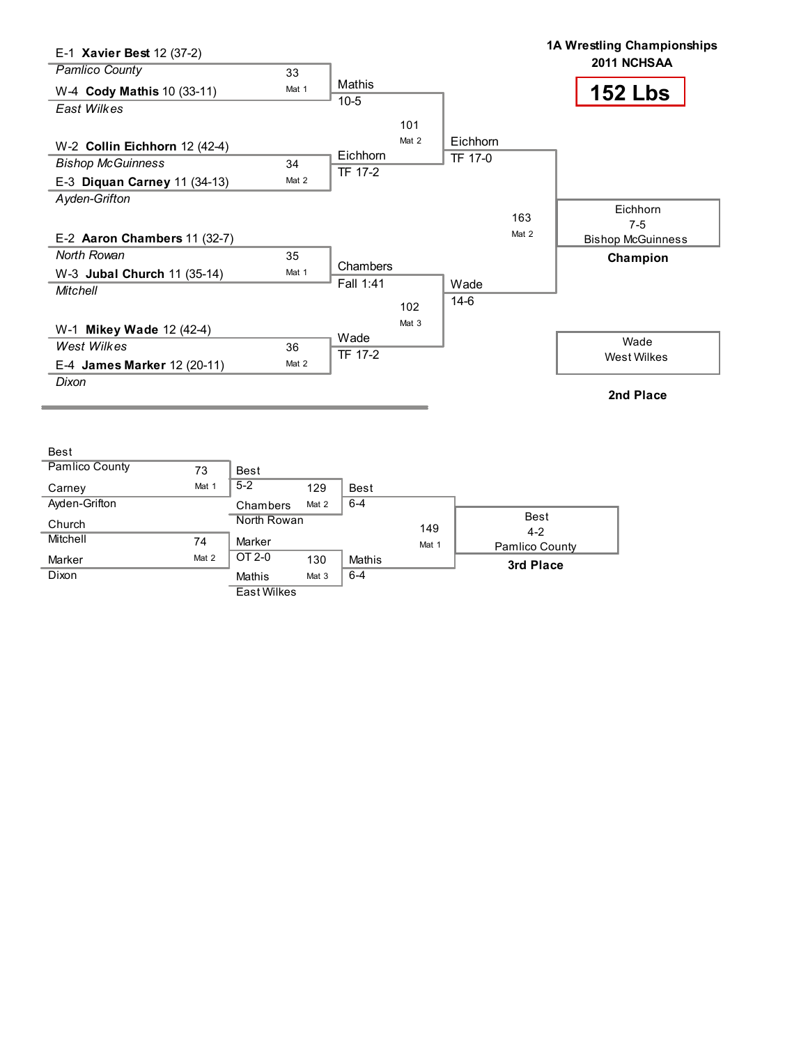

| <b>Best</b>    |       |                    |       |             |       |                        |
|----------------|-------|--------------------|-------|-------------|-------|------------------------|
| Pamlico County | 73    | <b>Best</b>        |       |             |       |                        |
| Carney         | Mat 1 | $5 - 2$            | 129   | <b>Best</b> |       |                        |
| Ayden-Grifton  |       | Chambers           | Mat 2 | $6 - 4$     |       |                        |
| Church         |       | North Rowan        |       |             | 149   | <b>Best</b><br>$4 - 2$ |
| Mitchell       | 74    | Marker             |       |             | Mat 1 | Pamlico County         |
| Marker         | Mat 2 | OT 2-0             | 130   | Mathis      |       | 3rd Place              |
| Dixon          |       | Mathis             | Mat 3 | $6 - 4$     |       |                        |
|                |       | <b>East Wilkes</b> |       |             |       |                        |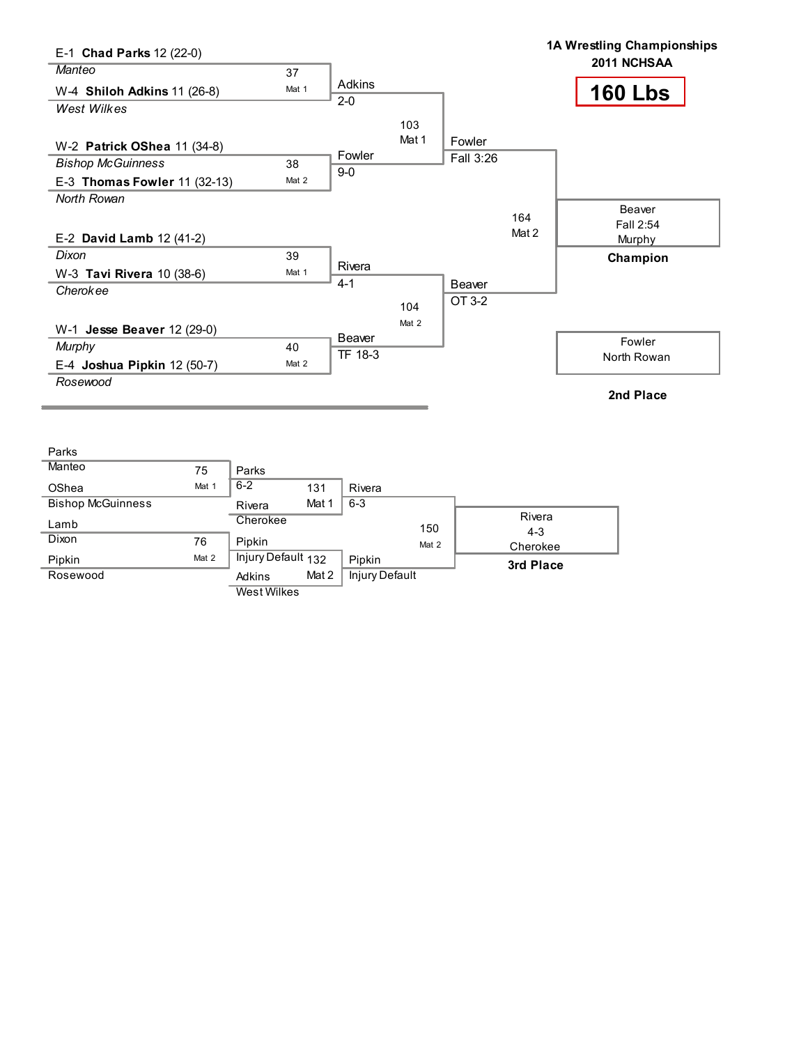

| Parks                    |       |                    |       |                |       |                   |
|--------------------------|-------|--------------------|-------|----------------|-------|-------------------|
| Manteo                   | 75    | Parks              |       |                |       |                   |
| OShea                    | Mat 1 | $6 - 2$            | 131   | Rivera         |       |                   |
| <b>Bishop McGuinness</b> |       | Rivera             | Mat 1 | $6 - 3$        |       |                   |
| Lamb                     |       | Cherokee           |       |                | 150   | Rivera<br>$4 - 3$ |
| Dixon                    | 76    | Pipkin             |       |                | Mat 2 | Cherokee          |
| Pipkin                   | Mat 2 | Injury Default 132 |       | Pipkin         |       | 3rd Place         |
| Rosewood                 |       | Adkins             | Mat 2 | Injury Default |       |                   |
|                          |       | <b>West Wilkes</b> |       |                |       |                   |

 $\overline{p}$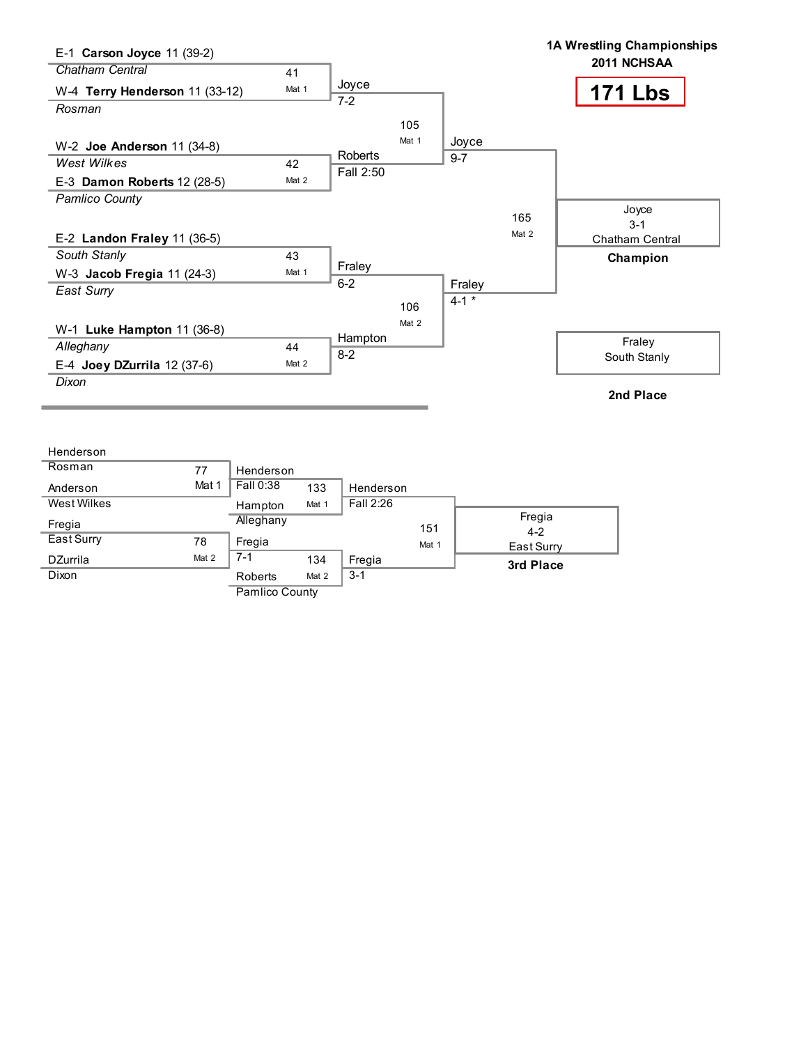

| Henderson       |       |                       |       |           |       |                 |
|-----------------|-------|-----------------------|-------|-----------|-------|-----------------|
| Rosman          | 77    | Henderson             |       |           |       |                 |
| Anderson        | Mat 1 | Fall 0:38             | 133   | Henderson |       |                 |
| West Wilkes     |       | Hampton               | Mat 1 | Fall 2:26 |       |                 |
| Fregia          |       | Alleghany             |       |           | 151   | Fregia<br>$4-2$ |
| East Surry      | 78    | Fregia                |       |           | Mat 1 | East Surry      |
| <b>DZurrila</b> | Mat 2 | $7 - 1$               | 134   | Fregia    |       | 3rd Place       |
| Dixon           |       | Roberts               | Mat 2 | $3 - 1$   |       |                 |
|                 |       | <b>Pamlico County</b> |       |           |       |                 |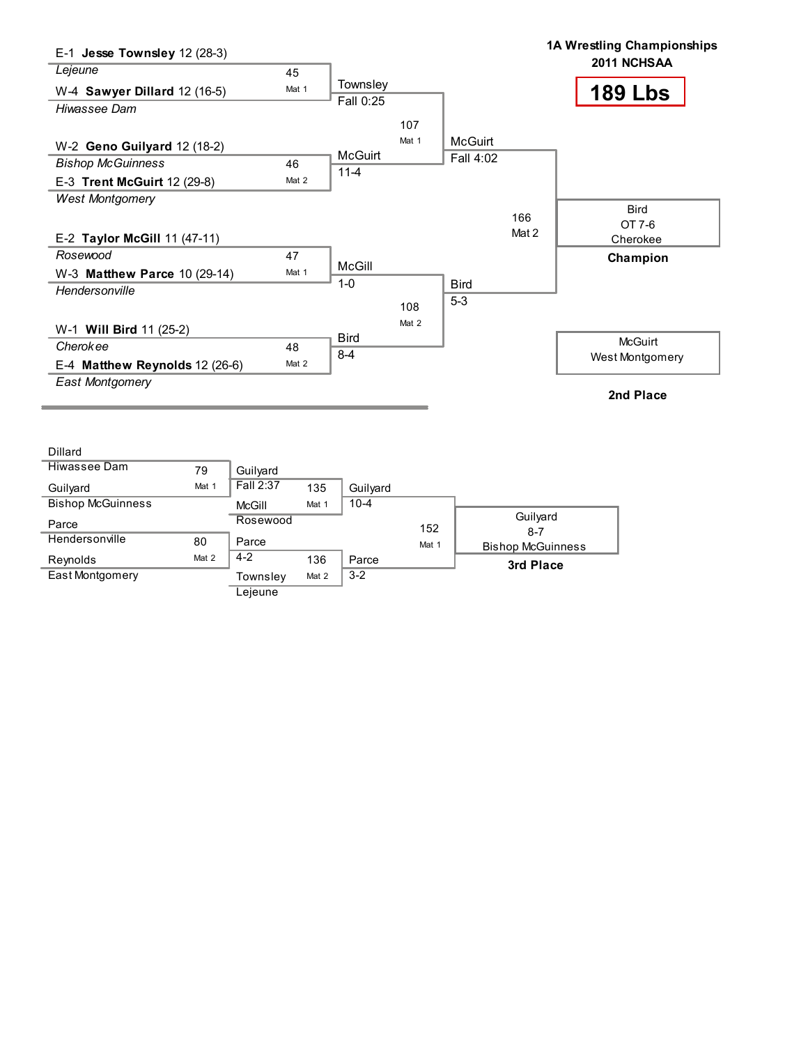

| Dillard                  |       |           |       |          |       |                          |
|--------------------------|-------|-----------|-------|----------|-------|--------------------------|
| Hiwassee Dam             | 79    | Guilvard  |       |          |       |                          |
| Guilyard                 | Mat 1 | Fall 2:37 | 135   | Guilyard |       |                          |
| <b>Bishop McGuinness</b> |       | McGill    | Mat 1 | $10 - 4$ |       |                          |
| Parce                    |       | Rosewood  |       |          | 152   | Guilvard<br>$8 - 7$      |
| Hendersonville           | 80    | Parce     |       |          | Mat 1 | <b>Bishop McGuinness</b> |
| Reynolds                 | Mat 2 | $4 - 2$   | 136   | Parce    |       | 3rd Place                |
| East Montgomery          |       | Townslev  | Mat 2 | $3-2$    |       |                          |
|                          |       | Lejeune   |       |          |       |                          |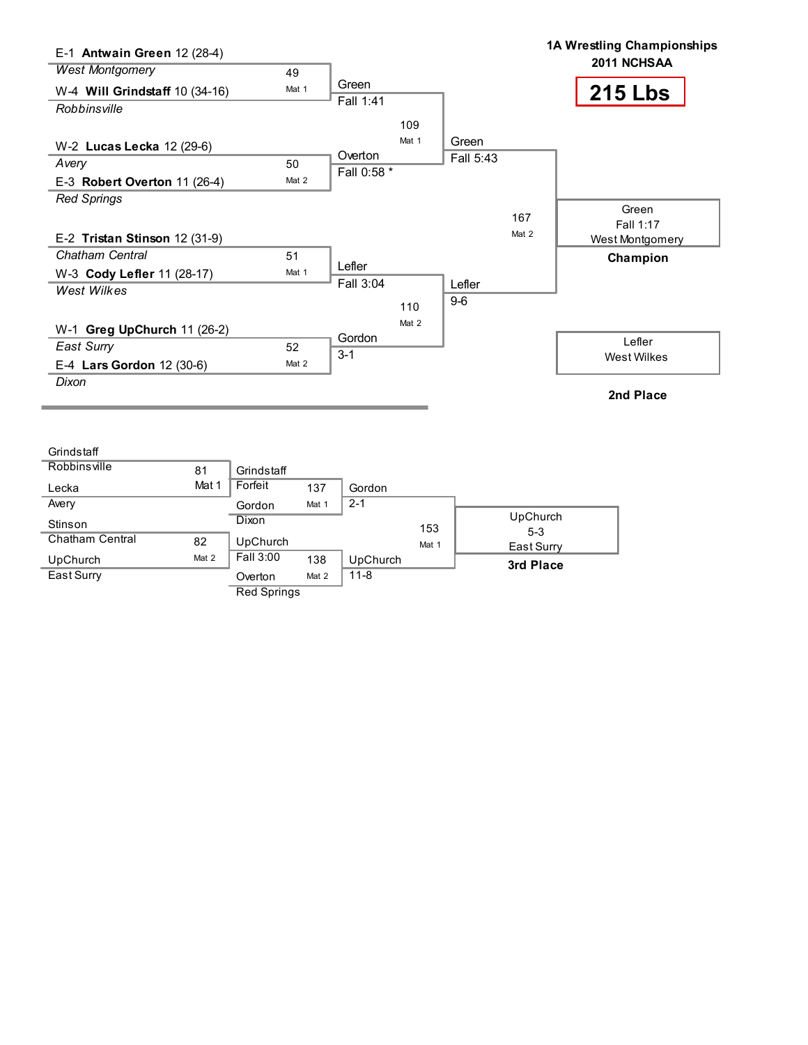

| Grindstaff      |       |                    |       |          |       |                   |
|-----------------|-------|--------------------|-------|----------|-------|-------------------|
| Robbinsville    | 81    | Grindstaff         |       |          |       |                   |
| Lecka           | Mat 1 | Forfeit            | 137   | Gordon   |       |                   |
| Avery           |       | Gordon             | Mat 1 | $2 - 1$  |       |                   |
| Stinson         |       | Dixon              |       |          | 153   | UpChurch<br>$5-3$ |
| Chatham Central | 82    | UpChurch           |       |          | Mat 1 | East Surry        |
| UpChurch        | Mat 2 | Fall 3:00          | 138   | UpChurch |       | 3rd Place         |
| East Surry      |       | Overton            | Mat 2 | $11 - 8$ |       |                   |
|                 |       | <b>Red Springs</b> |       |          |       |                   |